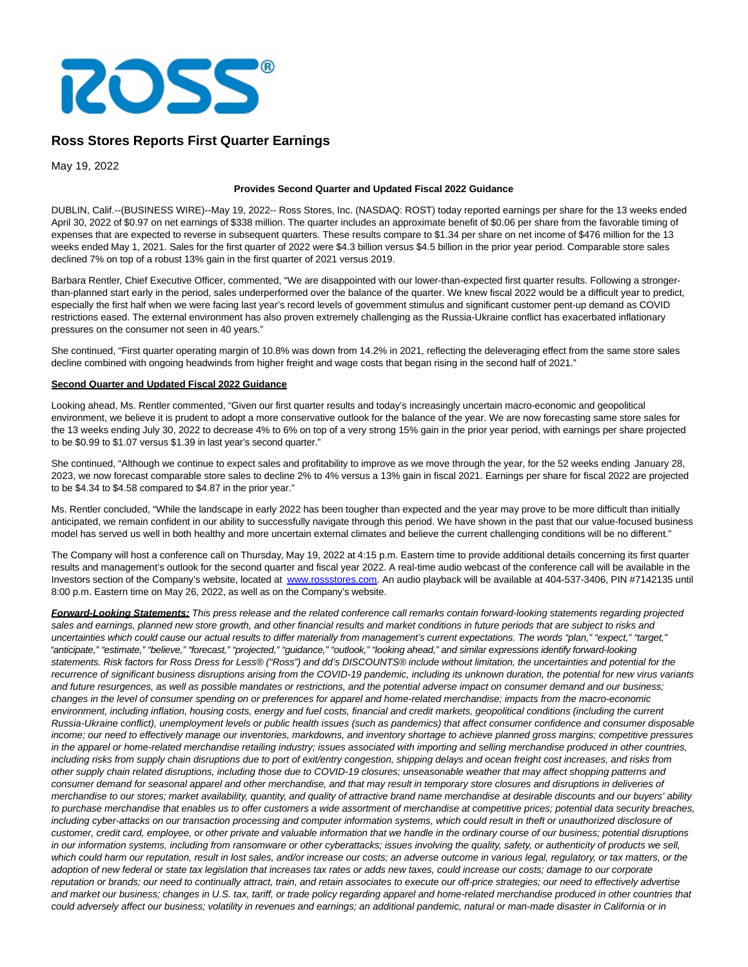

# **Ross Stores Reports First Quarter Earnings**

May 19, 2022

#### **Provides Second Quarter and Updated Fiscal 2022 Guidance**

DUBLIN, Calif.--(BUSINESS WIRE)--May 19, 2022-- Ross Stores, Inc. (NASDAQ: ROST) today reported earnings per share for the 13 weeks ended April 30, 2022 of \$0.97 on net earnings of \$338 million. The quarter includes an approximate benefit of \$0.06 per share from the favorable timing of expenses that are expected to reverse in subsequent quarters. These results compare to \$1.34 per share on net income of \$476 million for the 13 weeks ended May 1, 2021. Sales for the first quarter of 2022 were \$4.3 billion versus \$4.5 billion in the prior year period. Comparable store sales declined 7% on top of a robust 13% gain in the first quarter of 2021 versus 2019.

Barbara Rentler, Chief Executive Officer, commented, "We are disappointed with our lower-than-expected first quarter results. Following a strongerthan-planned start early in the period, sales underperformed over the balance of the quarter. We knew fiscal 2022 would be a difficult year to predict, especially the first half when we were facing last year's record levels of government stimulus and significant customer pent-up demand as COVID restrictions eased. The external environment has also proven extremely challenging as the Russia-Ukraine conflict has exacerbated inflationary pressures on the consumer not seen in 40 years."

She continued, "First quarter operating margin of 10.8% was down from 14.2% in 2021, reflecting the deleveraging effect from the same store sales decline combined with ongoing headwinds from higher freight and wage costs that began rising in the second half of 2021."

#### **Second Quarter and Updated Fiscal 2022 Guidance**

Looking ahead, Ms. Rentler commented, "Given our first quarter results and today's increasingly uncertain macro-economic and geopolitical environment, we believe it is prudent to adopt a more conservative outlook for the balance of the year. We are now forecasting same store sales for the 13 weeks ending July 30, 2022 to decrease 4% to 6% on top of a very strong 15% gain in the prior year period, with earnings per share projected to be \$0.99 to \$1.07 versus \$1.39 in last year's second quarter."

She continued, "Although we continue to expect sales and profitability to improve as we move through the year, for the 52 weeks ending January 28, 2023, we now forecast comparable store sales to decline 2% to 4% versus a 13% gain in fiscal 2021. Earnings per share for fiscal 2022 are projected to be \$4.34 to \$4.58 compared to \$4.87 in the prior year."

Ms. Rentler concluded, "While the landscape in early 2022 has been tougher than expected and the year may prove to be more difficult than initially anticipated, we remain confident in our ability to successfully navigate through this period. We have shown in the past that our value-focused business model has served us well in both healthy and more uncertain external climates and believe the current challenging conditions will be no different."

The Company will host a conference call on Thursday, May 19, 2022 at 4:15 p.m. Eastern time to provide additional details concerning its first quarter results and management's outlook for the second quarter and fiscal year 2022. A real-time audio webcast of the conference call will be available in the Investors section of the Company's website, located at [www.rossstores.com.](https://cts.businesswire.com/ct/CT?id=smartlink&url=http%3A%2F%2Fwww.rossstores.com&esheet=52724798&newsitemid=20220519005820&lan=en-US&anchor=www.rossstores.com&index=1&md5=7267b7ab72b0f5d98d013636cf4d4c9e) An audio playback will be available at 404-537-3406, PIN #7142135 until 8:00 p.m. Eastern time on May 26, 2022, as well as on the Company's website.

**Forward-Looking Statements:** This press release and the related conference call remarks contain forward-looking statements regarding projected sales and earnings, planned new store growth, and other financial results and market conditions in future periods that are subject to risks and uncertainties which could cause our actual results to differ materially from management's current expectations. The words "plan," "expect," "target," "anticipate," "estimate," "believe," "forecast," "projected," "guidance," "outlook," "looking ahead," and similar expressions identify forward-looking statements. Risk factors for Ross Dress for Less® ("Ross") and dd's DISCOUNTS® include without limitation, the uncertainties and potential for the recurrence of significant business disruptions arising from the COVID-19 pandemic, including its unknown duration, the potential for new virus variants and future resurgences, as well as possible mandates or restrictions, and the potential adverse impact on consumer demand and our business; changes in the level of consumer spending on or preferences for apparel and home-related merchandise; impacts from the macro-economic environment, including inflation, housing costs, energy and fuel costs, financial and credit markets, geopolitical conditions (including the current Russia-Ukraine conflict), unemployment levels or public health issues (such as pandemics) that affect consumer confidence and consumer disposable income; our need to effectively manage our inventories, markdowns, and inventory shortage to achieve planned gross margins; competitive pressures in the apparel or home-related merchandise retailing industry; issues associated with importing and selling merchandise produced in other countries, including risks from supply chain disruptions due to port of exit/entry congestion, shipping delays and ocean freight cost increases, and risks from other supply chain related disruptions, including those due to COVID-19 closures; unseasonable weather that may affect shopping patterns and consumer demand for seasonal apparel and other merchandise, and that may result in temporary store closures and disruptions in deliveries of merchandise to our stores; market availability, quantity, and quality of attractive brand name merchandise at desirable discounts and our buyers' ability to purchase merchandise that enables us to offer customers a wide assortment of merchandise at competitive prices; potential data security breaches, including cyber-attacks on our transaction processing and computer information systems, which could result in theft or unauthorized disclosure of customer, credit card, employee, or other private and valuable information that we handle in the ordinary course of our business; potential disruptions in our information systems, including from ransomware or other cyberattacks; issues involving the quality, safety, or authenticity of products we sell, which could harm our reputation, result in lost sales, and/or increase our costs; an adverse outcome in various legal, regulatory, or tax matters, or the adoption of new federal or state tax legislation that increases tax rates or adds new taxes, could increase our costs; damage to our corporate reputation or brands; our need to continually attract, train, and retain associates to execute our off-price strategies; our need to effectively advertise and market our business; changes in U.S. tax, tariff, or trade policy regarding apparel and home-related merchandise produced in other countries that could adversely affect our business; volatility in revenues and earnings; an additional pandemic, natural or man-made disaster in California or in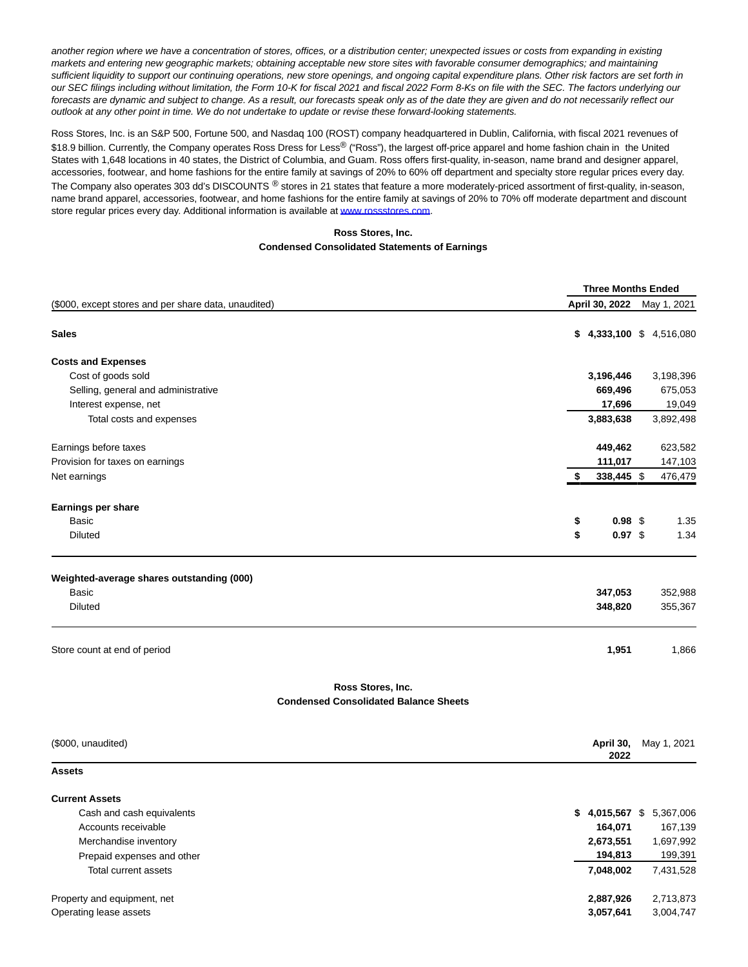another region where we have a concentration of stores, offices, or a distribution center; unexpected issues or costs from expanding in existing markets and entering new geographic markets; obtaining acceptable new store sites with favorable consumer demographics; and maintaining sufficient liquidity to support our continuing operations, new store openings, and ongoing capital expenditure plans. Other risk factors are set forth in our SEC filings including without limitation, the Form 10-K for fiscal 2021 and fiscal 2022 Form 8-Ks on file with the SEC. The factors underlying our forecasts are dynamic and subject to change. As a result, our forecasts speak only as of the date they are given and do not necessarily reflect our outlook at any other point in time. We do not undertake to update or revise these forward-looking statements.

Ross Stores, Inc. is an S&P 500, Fortune 500, and Nasdaq 100 (ROST) company headquartered in Dublin, California, with fiscal 2021 revenues of \$18.9 billion. Currently, the Company operates Ross Dress for Less® ("Ross"), the largest off-price apparel and home fashion chain in the United States with 1,648 locations in 40 states, the District of Columbia, and Guam. Ross offers first-quality, in-season, name brand and designer apparel, accessories, footwear, and home fashions for the entire family at savings of 20% to 60% off department and specialty store regular prices every day. The Company also operates 303 dd's DISCOUNTS ® stores in 21 states that feature a more moderately-priced assortment of first-quality, in-season, name brand apparel, accessories, footwear, and home fashions for the entire family at savings of 20% to 70% off moderate department and discount store regular prices every day. Additional information is available at [www.rossstores.com.](https://cts.businesswire.com/ct/CT?id=smartlink&url=http%3A%2F%2Fwww.rossstores.com&esheet=52724798&newsitemid=20220519005820&lan=en-US&anchor=www.rossstores.com&index=2&md5=7ac62aa9f1a6f06e4c9a3e429c36cad7)

## **Ross Stores, Inc.**

#### **Condensed Consolidated Statements of Earnings**

|                                                                      | <b>Three Months Ended</b> |                    |
|----------------------------------------------------------------------|---------------------------|--------------------|
| (\$000, except stores and per share data, unaudited)                 | April 30, 2022            | May 1, 2021        |
| <b>Sales</b>                                                         | $$4,333,100 \$4,516,080$  |                    |
| <b>Costs and Expenses</b>                                            |                           |                    |
| Cost of goods sold                                                   | 3,196,446                 | 3,198,396          |
| Selling, general and administrative                                  | 669,496                   | 675,053            |
| Interest expense, net                                                | 17,696                    | 19,049             |
| Total costs and expenses                                             | 3,883,638                 | 3,892,498          |
| Earnings before taxes                                                | 449,462                   | 623,582            |
| Provision for taxes on earnings                                      | 111,017                   | 147,103            |
| Net earnings                                                         | 338,445 \$<br>\$          | 476,479            |
| <b>Earnings per share</b>                                            |                           |                    |
| Basic                                                                | 0.98 <sup>°</sup><br>\$   | 1.35               |
| <b>Diluted</b>                                                       | \$<br>$0.97$ \$           | 1.34               |
| Weighted-average shares outstanding (000)<br>Basic<br><b>Diluted</b> | 347,053<br>348,820        | 352,988<br>355,367 |
| Store count at end of period                                         | 1,951                     | 1,866              |
| Ross Stores, Inc.<br><b>Condensed Consolidated Balance Sheets</b>    |                           |                    |
| (\$000, unaudited)                                                   | April 30,<br>2022         | May 1, 2021        |
| <b>Assets</b>                                                        |                           |                    |
| <b>Current Assets</b>                                                |                           |                    |
| Cash and cash equivalents                                            | $$4,015,567$ \$5,367,006  |                    |
| Accounts receivable                                                  | 164,071                   | 167,139            |
| Merchandise inventory                                                | 2,673,551                 | 1,697,992          |
| Prepaid expenses and other                                           | 194,813                   | 199,391            |
| <b>Total current assets</b>                                          | 7,048,002                 | 7,431,528          |
| Property and equipment, net                                          | 2,887,926                 | 2,713,873          |
| Operating lease assets                                               | 3,057,641                 | 3,004,747          |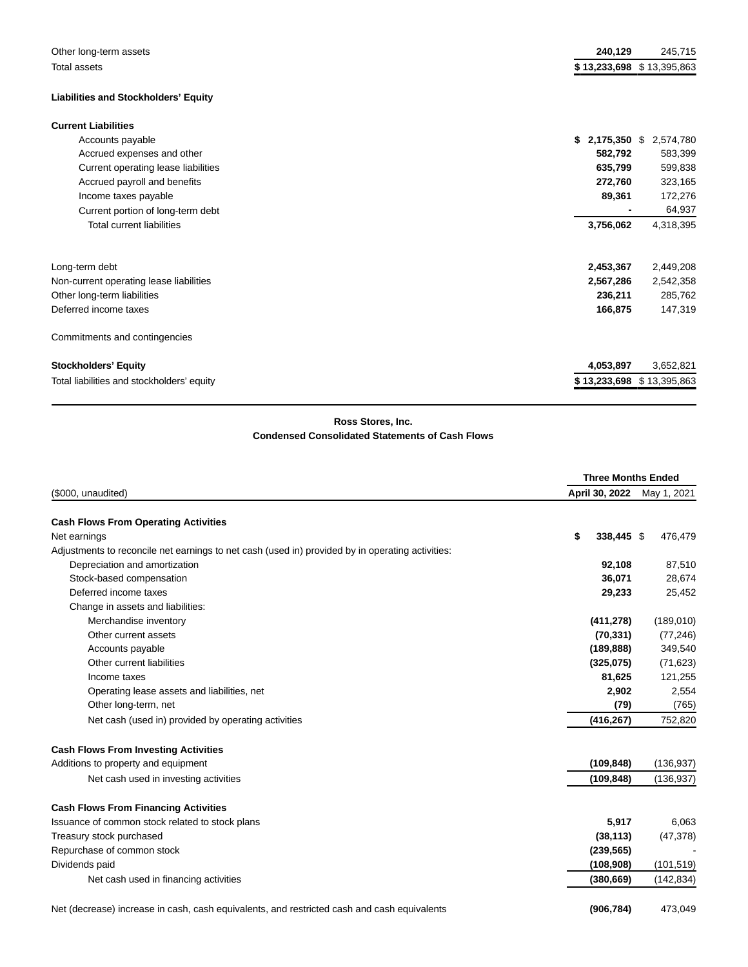| Other long-term assets                      | 240,129            | 245,715                   |
|---------------------------------------------|--------------------|---------------------------|
| Total assets                                |                    | \$13,233,698 \$13,395,863 |
| <b>Liabilities and Stockholders' Equity</b> |                    |                           |
| <b>Current Liabilities</b>                  |                    |                           |
| Accounts payable                            | \$<br>2,175,350 \$ | 2,574,780                 |
| Accrued expenses and other                  | 582,792            | 583,399                   |
| Current operating lease liabilities         | 635,799            | 599,838                   |
| Accrued payroll and benefits                | 272,760            | 323,165                   |
| Income taxes payable                        | 89,361             | 172,276                   |
| Current portion of long-term debt           |                    | 64,937                    |
| <b>Total current liabilities</b>            | 3,756,062          | 4,318,395                 |
| Long-term debt                              | 2,453,367          | 2,449,208                 |
| Non-current operating lease liabilities     | 2,567,286          | 2,542,358                 |
| Other long-term liabilities                 | 236,211            | 285,762                   |
| Deferred income taxes                       | 166,875            | 147,319                   |
| Commitments and contingencies               |                    |                           |
| <b>Stockholders' Equity</b>                 | 4,053,897          | 3,652,821                 |
| Total liabilities and stockholders' equity  |                    | \$13,233,698 \$13,395,863 |

# **Ross Stores, Inc.**

### **Condensed Consolidated Statements of Cash Flows**

|                                                                                                  |                  | <b>Three Months Ended</b> |  |  |  |
|--------------------------------------------------------------------------------------------------|------------------|---------------------------|--|--|--|
| (\$000, unaudited)                                                                               | April 30, 2022   | May 1, 2021               |  |  |  |
| <b>Cash Flows From Operating Activities</b>                                                      |                  |                           |  |  |  |
| Net earnings                                                                                     | 338,445 \$<br>\$ | 476,479                   |  |  |  |
| Adjustments to reconcile net earnings to net cash (used in) provided by in operating activities: |                  |                           |  |  |  |
| Depreciation and amortization                                                                    | 92,108           | 87,510                    |  |  |  |
| Stock-based compensation                                                                         | 36,071           | 28,674                    |  |  |  |
| Deferred income taxes                                                                            | 29,233           | 25,452                    |  |  |  |
| Change in assets and liabilities:                                                                |                  |                           |  |  |  |
| Merchandise inventory                                                                            | (411, 278)       | (189,010)                 |  |  |  |
| Other current assets                                                                             | (70, 331)        | (77, 246)                 |  |  |  |
| Accounts payable                                                                                 | (189, 888)       | 349,540                   |  |  |  |
| Other current liabilities                                                                        | (325,075)        | (71, 623)                 |  |  |  |
| Income taxes                                                                                     | 81,625           | 121,255                   |  |  |  |
| Operating lease assets and liabilities, net                                                      | 2,902            | 2,554                     |  |  |  |
| Other long-term, net                                                                             | (79)             | (765)                     |  |  |  |
| Net cash (used in) provided by operating activities                                              | (416, 267)       | 752,820                   |  |  |  |
| <b>Cash Flows From Investing Activities</b>                                                      |                  |                           |  |  |  |
| Additions to property and equipment                                                              | (109, 848)       | (136, 937)                |  |  |  |
| Net cash used in investing activities                                                            | (109, 848)       | (136, 937)                |  |  |  |
| <b>Cash Flows From Financing Activities</b>                                                      |                  |                           |  |  |  |
| Issuance of common stock related to stock plans                                                  | 5,917            | 6,063                     |  |  |  |
| Treasury stock purchased                                                                         | (38, 113)        | (47, 378)                 |  |  |  |
| Repurchase of common stock                                                                       | (239, 565)       |                           |  |  |  |
| Dividends paid                                                                                   | (108,908)        | (101, 519)                |  |  |  |
| Net cash used in financing activities                                                            | (380, 669)       | (142, 834)                |  |  |  |
|                                                                                                  |                  |                           |  |  |  |

Net (decrease) increase in cash, cash equivalents, and restricted cash and cash equivalents **(906,784)** 473,049